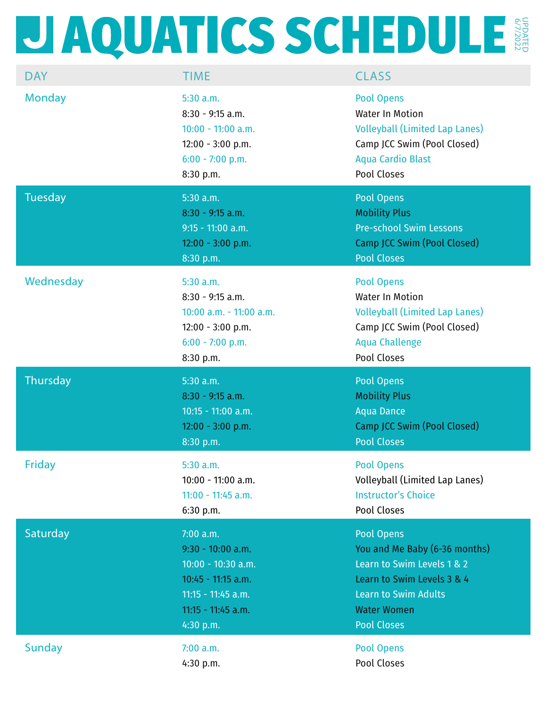#### U AQUATICS SCHEDULE UPDATED 6/7/2022

| <b>DAY</b>     | <b>TIME</b>                                                                                                                                 | <b>CLASS</b>                                                                                                                                                                |
|----------------|---------------------------------------------------------------------------------------------------------------------------------------------|-----------------------------------------------------------------------------------------------------------------------------------------------------------------------------|
| <b>Monday</b>  | $5:30$ a.m.<br>$8:30 - 9:15$ a.m.<br>$10:00 - 11:00$ a.m.<br>$12:00 - 3:00$ p.m.<br>$6:00 - 7:00$ p.m.<br>8:30 p.m.                         | <b>Pool Opens</b><br><b>Water In Motion</b><br><b>Volleyball (Limited Lap Lanes)</b><br>Camp JCC Swim (Pool Closed)<br><b>Aqua Cardio Blast</b><br>Pool Closes              |
| <b>Tuesday</b> | 5:30 a.m.<br>$8:30 - 9:15$ a.m.<br>$9:15 - 11:00$ a.m.<br>$12:00 - 3:00$ p.m.<br>8:30 p.m.                                                  | Pool Opens<br><b>Mobility Plus</b><br><b>Pre-school Swim Lessons</b><br>Camp JCC Swim (Pool Closed)<br><b>Pool Closes</b>                                                   |
| Wednesday      | $5:30$ a.m.<br>8:30 - 9:15 a.m.<br>10:00 a.m. - 11:00 a.m.<br>$12:00 - 3:00$ p.m.<br>$6:00 - 7:00$ p.m.<br>8:30 p.m.                        | <b>Pool Opens</b><br><b>Water In Motion</b><br><b>Volleyball (Limited Lap Lanes)</b><br>Camp JCC Swim (Pool Closed)<br><b>Aqua Challenge</b><br>Pool Closes                 |
|                |                                                                                                                                             |                                                                                                                                                                             |
| Thursday       | 5:30 a.m.<br>$8:30 - 9:15$ a.m.<br>$10:15 - 11:00$ a.m.<br>$12:00 - 3:00$ p.m.<br>8:30 p.m.                                                 | Pool Opens<br><b>Mobility Plus</b><br><b>Aqua Dance</b><br>Camp JCC Swim (Pool Closed)<br><b>Pool Closes</b>                                                                |
| Friday         | 5:30 a.m.<br>10:00 - 11:00 a.m.<br>$11:00 - 11:45$ a.m.<br>6:30 p.m.                                                                        | <b>Pool Opens</b><br>Volleyball (Limited Lap Lanes)<br><b>Instructor's Choice</b><br>Pool Closes                                                                            |
| Saturday       | 7:00 a.m.<br>$9:30 - 10:00$ a.m.<br>10:00 - 10:30 a.m.<br>$10:45 - 11:15$ a.m.<br>$11:15 - 11:45$ a.m.<br>$11:15 - 11:45$ a.m.<br>4:30 p.m. | Pool Opens<br>You and Me Baby (6-36 months)<br>Learn to Swim Levels 1 & 2<br>Learn to Swim Levels 3 & 4<br>Learn to Swim Adults<br><b>Water Women</b><br><b>Pool Closes</b> |